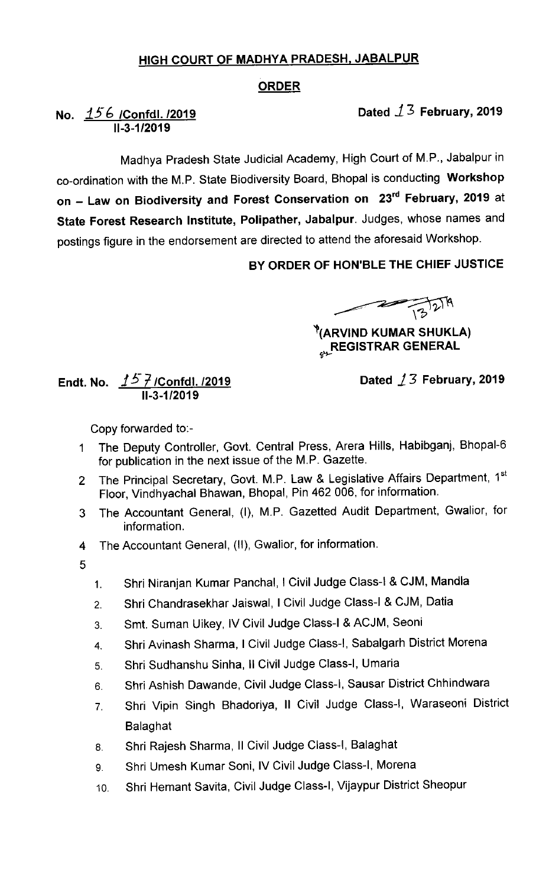## HIGH COURT OF MADHYA PRADESH. JABALPUR

## ORDER

No. <u>156 /Confdl. /2019</u> 11-3-1/2019

Dated  $1/3$  February, 2019

Madhya Pradesh State Judicial Academy, High Court of M.P., Jabalpur in co-ordination with the M.P. State Biodiversity Board, Bhopal is conducting Workshop on - Law on Biodiversity and Forest Conservation on 23<sup>rd</sup> February, 2019 at State Forest Research Institute, Polipather, Jabalpur. Judges, whose names and postings figure in the endorsement are directed to attend the aforesaid Workshop.

BY ORDER OF HON'BLE THE CHIEF JUSTICE

 $\frac{1}{13^{12}}$ 

 $^{\circ}$ (ARVIND KUMAR SHUKLA) **REGISTRAR GENERAL** 

Endt.No. Jj- /Confdl. /2019 11-3-1/2019

Dated  $/3$  February, 2019

Copy forvarded to:-

- 1 The Deputy Controller, Govt. Central Press, Arera Hills, Habibganj, Bhopal-6 for publication in the next issue of the M.P. Gazette.
- The Principal Secretary, Govt. M.P. Law & Legislative Affairs Department, 1st  $\overline{2}$ Floor, Vindhyachal Bhawan, Bhopal, Pin 462 006, for information.
- The Accountant General, (I), M.P. Gazetted Audit Department, Gwalior, for 3 information.
- The Accountant General, (11), Gwalior, for information. 4
- 5
- 1. Shri Niranjan Kumar Panchal, I Civil Judge Class-I & CJM, Mandla
- 2. Shri Chandrasekhar Jaiswal, I Civil Judge Class-I & CJM, Datia
- 3. Smt. Suman Uikey, IV Civil Judge Class-I & ACJM, Seoni
- 4. Shri Avinash sharma, I civil Judge class-I, Sabalgarh District Morena
- 5. Shri sudhanshu sinha, ll civil Judge class-I, Umaria
- 6. Shri Ashish Dawande, Civil Judge class-I, Sausar District chhindwara
- 7. Shri Vipin Singh Bhadoriya, 11 Civil Judge Class-I, Waraseoni District Balaghat
- 8, Shri Rajesh sharma, ll civil Judge class-I, Balaghat
- 9. Shri Umesh Kumar Soni, IV Civil Judge Class-I, Morena
- lo. Shri Hemant savita, Civil Judge class-I, Vijaypur District sheopur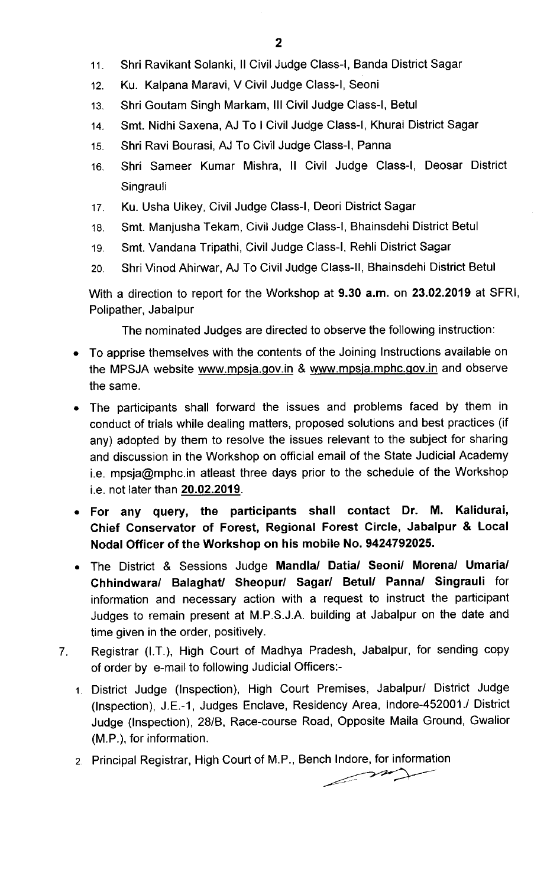- 11. Shri Ravikant Solanki, Il Civil Judge Class-I, Banda District Sagar
- 12. Ku. Kalpana Maravi, V Civil Judge Class-I, Seoni
- 13. Shri Goutam singh Markam, Ill civil Judge class-I, Betul
- 14. Smt. Nidhi Saxena, AJ To I Civil Judge Class-I, Khurai District Sagar
- 15. Shri Ravi Bourasi, AJ To Civil Judge Class-I, Panna
- 16. Shri Sameer Kumar Mishra, 11 Civil Judge Class-I, Deosar District **Singrauli**
- 17. Ku. Usha Uikey, Civil Judge Class-I, Deori District Sagar
- 18. Smt. Manjusha Tekam, Civil Judge class-I, Bhainsdehi District Betul
- 19. Smt. Vandana Tripathi, Civil Judge Class-I, Rehli District Sagar
- 2o. Shri vlnod Ahirwar, AJ To civil Judge class-ll, Bhainsdehi District Betul

With a direction to report for the Workshop at 9.30 a.m. on 23.02.2019 at SFRI, Polipather, Jabalpur

The nominated Judges are directed to observe the following instruction:

- To apprise themselves with the contents of the Joining Instructions available on the MPSJA website www.mpsja.gov.in & www.mpsja.mphc.gov.in and observe the same.
- The participants shall forward the issues and problems faced by them in conduct of trials while dealing matters, proposed solutions and best practices (if any) adopted by them to resolve the issues relevant to the subject for sharing and discussion in the Workshop on official email of the State Judicial Academy i.e. mpsja@mphc.in atleast three days prior to the schedule of the Workshop i.e. not later than 20.02.2019.
- For any query, the participants shall contact Dr. M. Kalidurai, Chief Conservator of Forest, Regional Forest Circle, Jabalpur & Local Nodal Officer of the Workshop on his mobile No. 9424792025.
- The District & Sessions Judge Mandla/ Datia/ Seoni/ Morena/ Umaria/ Chhindwara/ Balaghat/ Sheopur/ Sagar/ Betul/ Panna/ Singrauli for information and necessary action with a request to instruct the participant Judges to remain present at M.P.S.J.A. building at Jabalpur on the date and time given in the order, positively.
- Registrar (I.T.), High Court of Madhya Pradesh, Jabalpur, for sending copy  $7<sub>1</sub>$ of order by e-mail to following Judicial Officers:-
	- 1 District Judge (Inspection), High Court Premises, Jabalpur/ District Judge (Inspection), J.E.-1, Judges Enclave, Residency Area, lndore-452001./ District Judge (Inspection), 28/B, Race-course Road, Opposite Maila Ground, Gwalior (M.P.), for information.
	- 2 Principal Registrar, High Court of M.P., Bench Indore, for information